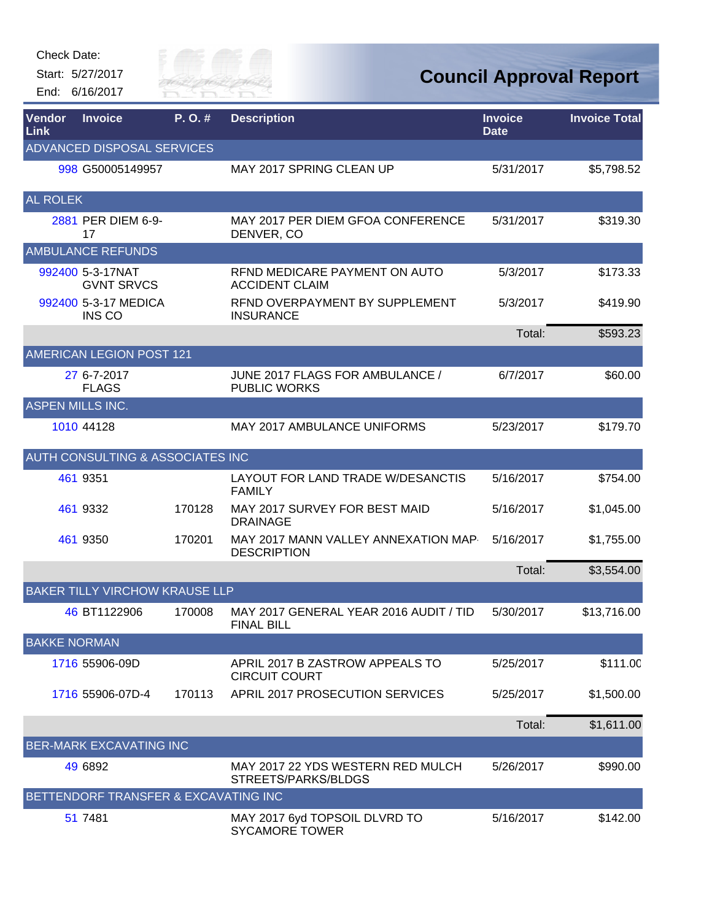Start: 5/27/2017 End: 6/16/2017



| Vendor<br>Link          | <b>Invoice</b>                              | P.O.#  | <b>Description</b>                                          | <b>Invoice</b><br><b>Date</b> | <b>Invoice Total</b> |
|-------------------------|---------------------------------------------|--------|-------------------------------------------------------------|-------------------------------|----------------------|
|                         | ADVANCED DISPOSAL SERVICES                  |        |                                                             |                               |                      |
|                         | 998 G50005149957                            |        | MAY 2017 SPRING CLEAN UP                                    | 5/31/2017                     | \$5,798.52           |
| <b>AL ROLEK</b>         |                                             |        |                                                             |                               |                      |
|                         | 2881 PER DIEM 6-9-<br>17                    |        | MAY 2017 PER DIEM GFOA CONFERENCE<br>DENVER, CO             | 5/31/2017                     | \$319.30             |
|                         | <b>AMBULANCE REFUNDS</b>                    |        |                                                             |                               |                      |
|                         | 992400 5-3-17NAT<br><b>GVNT SRVCS</b>       |        | REND MEDICARE PAYMENT ON AUTO<br><b>ACCIDENT CLAIM</b>      | 5/3/2017                      | \$173.33             |
|                         | 992400 5-3-17 MEDICA<br>INS CO              |        | REND OVERPAYMENT BY SUPPLEMENT<br><b>INSURANCE</b>          | 5/3/2017                      | \$419.90             |
|                         |                                             |        |                                                             | Total:                        | \$593.23             |
|                         | <b>AMERICAN LEGION POST 121</b>             |        |                                                             |                               |                      |
|                         | 27 6-7-2017<br><b>FLAGS</b>                 |        | JUNE 2017 FLAGS FOR AMBULANCE /<br><b>PUBLIC WORKS</b>      | 6/7/2017                      | \$60.00              |
| <b>ASPEN MILLS INC.</b> |                                             |        |                                                             |                               |                      |
|                         | 1010 44128                                  |        | <b>MAY 2017 AMBULANCE UNIFORMS</b>                          | 5/23/2017                     | \$179.70             |
|                         | <b>AUTH CONSULTING &amp; ASSOCIATES INC</b> |        |                                                             |                               |                      |
|                         | 461 9351                                    |        | LAYOUT FOR LAND TRADE W/DESANCTIS<br><b>FAMILY</b>          | 5/16/2017                     | \$754.00             |
|                         | 461 9332                                    | 170128 | MAY 2017 SURVEY FOR BEST MAID<br><b>DRAINAGE</b>            | 5/16/2017                     | \$1,045.00           |
|                         | 461 9350                                    | 170201 | MAY 2017 MANN VALLEY ANNEXATION MAP<br><b>DESCRIPTION</b>   | 5/16/2017                     | \$1,755.00           |
|                         |                                             |        |                                                             | Total:                        | \$3,554.00           |
|                         | <b>BAKER TILLY VIRCHOW KRAUSE LLP</b>       |        |                                                             |                               |                      |
|                         | 46 BT1122906                                | 170008 | MAY 2017 GENERAL YEAR 2016 AUDIT / TID<br><b>FINAL BILL</b> | 5/30/2017                     | \$13,716.00          |
| <b>BAKKE NORMAN</b>     |                                             |        |                                                             |                               |                      |
|                         | 1716 55906-09D                              |        | APRIL 2017 B ZASTROW APPEALS TO<br><b>CIRCUIT COURT</b>     | 5/25/2017                     | \$111.00             |
|                         | 1716 55906-07D-4                            | 170113 | APRIL 2017 PROSECUTION SERVICES                             | 5/25/2017                     | \$1,500.00           |
|                         |                                             |        |                                                             | Total:                        | \$1,611.00           |
|                         | <b>BER-MARK EXCAVATING INC</b>              |        |                                                             |                               |                      |
|                         | 49 6892                                     |        | MAY 2017 22 YDS WESTERN RED MULCH<br>STREETS/PARKS/BLDGS    | 5/26/2017                     | \$990.00             |
|                         | BETTENDORF TRANSFER & EXCAVATING INC        |        |                                                             |                               |                      |
|                         | 51 7481                                     |        | MAY 2017 6yd TOPSOIL DLVRD TO<br><b>SYCAMORE TOWER</b>      | 5/16/2017                     | \$142.00             |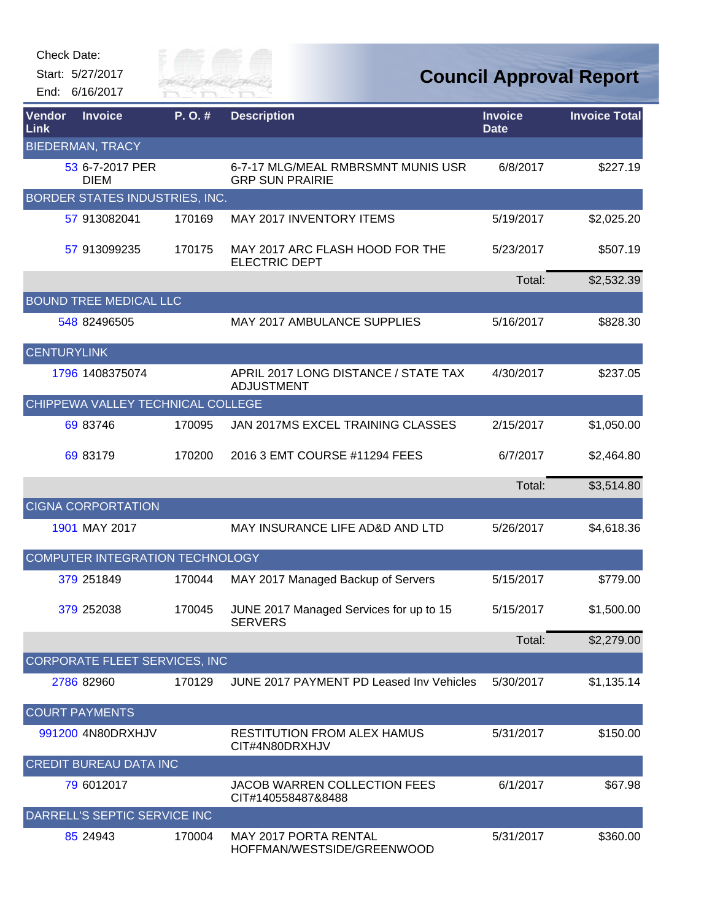| Check Date: |  |
|-------------|--|
|-------------|--|



| Vendor<br>Link     | <b>Invoice</b>                    | P. O. # | <b>Description</b>                                           | <b>Invoice</b><br><b>Date</b> | <b>Invoice Total</b> |
|--------------------|-----------------------------------|---------|--------------------------------------------------------------|-------------------------------|----------------------|
|                    | <b>BIEDERMAN, TRACY</b>           |         |                                                              |                               |                      |
|                    | 53 6-7-2017 PER<br><b>DIEM</b>    |         | 6-7-17 MLG/MEAL RMBRSMNT MUNIS USR<br><b>GRP SUN PRAIRIE</b> | 6/8/2017                      | \$227.19             |
|                    | BORDER STATES INDUSTRIES, INC.    |         |                                                              |                               |                      |
|                    | 57 913082041                      | 170169  | MAY 2017 INVENTORY ITEMS                                     | 5/19/2017                     | \$2,025.20           |
|                    | 57 913099235                      | 170175  | MAY 2017 ARC FLASH HOOD FOR THE<br><b>ELECTRIC DEPT</b>      | 5/23/2017                     | \$507.19             |
|                    |                                   |         |                                                              | Total:                        | \$2,532.39           |
|                    | <b>BOUND TREE MEDICAL LLC</b>     |         |                                                              |                               |                      |
|                    | 548 82496505                      |         | MAY 2017 AMBULANCE SUPPLIES                                  | 5/16/2017                     | \$828.30             |
| <b>CENTURYLINK</b> |                                   |         |                                                              |                               |                      |
|                    | 1796 1408375074                   |         | APRIL 2017 LONG DISTANCE / STATE TAX<br><b>ADJUSTMENT</b>    | 4/30/2017                     | \$237.05             |
|                    | CHIPPEWA VALLEY TECHNICAL COLLEGE |         |                                                              |                               |                      |
|                    | 69 83746                          | 170095  | JAN 2017MS EXCEL TRAINING CLASSES                            | 2/15/2017                     | \$1,050.00           |
|                    | 69 83179                          | 170200  | 2016 3 EMT COURSE #11294 FEES                                | 6/7/2017                      | \$2,464.80           |
|                    |                                   |         |                                                              | Total:                        | \$3,514.80           |
|                    | <b>CIGNA CORPORTATION</b>         |         |                                                              |                               |                      |
|                    | 1901 MAY 2017                     |         | MAY INSURANCE LIFE AD&D AND LTD                              | 5/26/2017                     | \$4,618.36           |
|                    | COMPUTER INTEGRATION TECHNOLOGY   |         |                                                              |                               |                      |
|                    | 379 251849                        | 170044  | MAY 2017 Managed Backup of Servers                           | 5/15/2017                     | \$779.00             |
|                    | 379 252038                        | 170045  | JUNE 2017 Managed Services for up to 15<br><b>SERVERS</b>    | 5/15/2017                     | \$1,500.00           |
|                    |                                   |         |                                                              | Total:                        | \$2,279.00           |
|                    | CORPORATE FLEET SERVICES, INC     |         |                                                              |                               |                      |
|                    | 2786 82960                        | 170129  | JUNE 2017 PAYMENT PD Leased Inv Vehicles                     | 5/30/2017                     | \$1,135.14           |
|                    | <b>COURT PAYMENTS</b>             |         |                                                              |                               |                      |
|                    | 991200 4N80DRXHJV                 |         | <b>RESTITUTION FROM ALEX HAMUS</b><br>CIT#4N80DRXHJV         | 5/31/2017                     | \$150.00             |
|                    | <b>CREDIT BUREAU DATA INC</b>     |         |                                                              |                               |                      |
|                    | 79 6012017                        |         | <b>JACOB WARREN COLLECTION FEES</b><br>CIT#140558487&8488    | 6/1/2017                      | \$67.98              |
|                    | DARRELL'S SEPTIC SERVICE INC      |         |                                                              |                               |                      |
|                    | 85 24943                          | 170004  | <b>MAY 2017 PORTA RENTAL</b><br>HOFFMAN/WESTSIDE/GREENWOOD   | 5/31/2017                     | \$360.00             |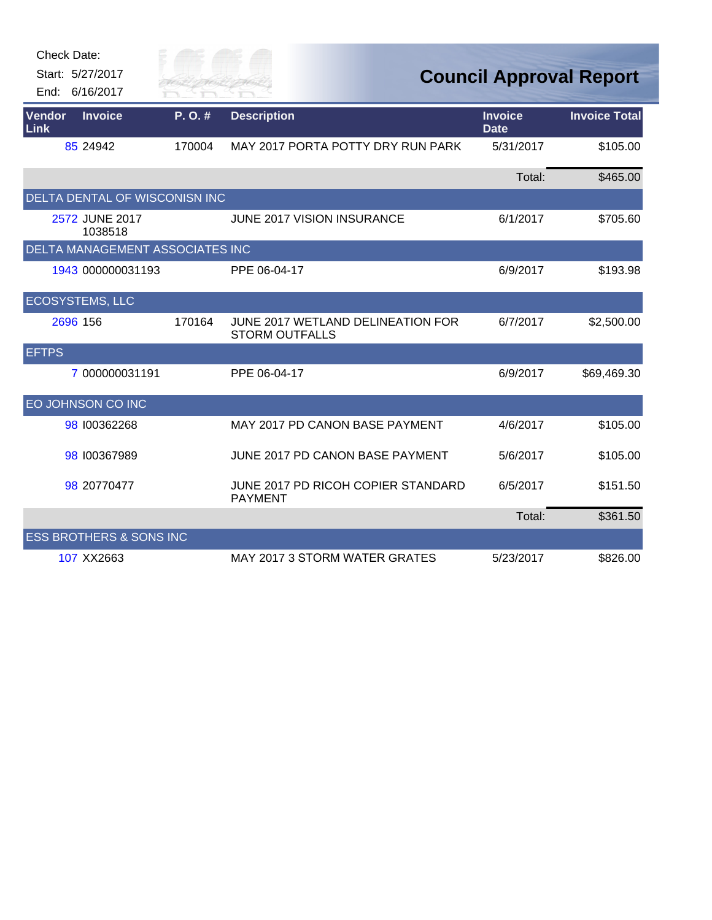| Check Date:                        |                                 |                                                            |                                |                      |
|------------------------------------|---------------------------------|------------------------------------------------------------|--------------------------------|----------------------|
| Start: 5/27/2017                   | City of                         |                                                            | <b>Council Approval Report</b> |                      |
| End: 6/16/2017                     | River Fai                       |                                                            |                                |                      |
| Vendor<br><b>Invoice</b><br>Link   | P.O.#                           | <b>Description</b>                                         | <b>Invoice</b><br><b>Date</b>  | <b>Invoice Total</b> |
| 85 24942                           | 170004                          | MAY 2017 PORTA POTTY DRY RUN PARK                          | 5/31/2017                      | \$105.00             |
|                                    |                                 |                                                            | Total:                         | \$465.00             |
|                                    | DELTA DENTAL OF WISCONISN INC   |                                                            |                                |                      |
| 2572 JUNE 2017<br>1038518          |                                 | JUNE 2017 VISION INSURANCE                                 | 6/1/2017                       | \$705.60             |
|                                    | DELTA MANAGEMENT ASSOCIATES INC |                                                            |                                |                      |
| 1943 000000031193                  |                                 | PPE 06-04-17                                               | 6/9/2017                       | \$193.98             |
| <b>ECOSYSTEMS, LLC</b>             |                                 |                                                            |                                |                      |
| 2696 156                           | 170164                          | JUNE 2017 WETLAND DELINEATION FOR<br><b>STORM OUTFALLS</b> | 6/7/2017                       | \$2,500.00           |
| <b>EFTPS</b>                       |                                 |                                                            |                                |                      |
|                                    | 7 000000031191                  | PPE 06-04-17                                               | 6/9/2017                       | \$69,469.30          |
| EO JOHNSON CO INC                  |                                 |                                                            |                                |                      |
| 98 100362268                       |                                 | MAY 2017 PD CANON BASE PAYMENT                             | 4/6/2017                       | \$105.00             |
| 98 100367989                       |                                 | JUNE 2017 PD CANON BASE PAYMENT                            | 5/6/2017                       | \$105.00             |
| 98 20770477                        |                                 | JUNE 2017 PD RICOH COPIER STANDARD<br><b>PAYMENT</b>       | 6/5/2017                       | \$151.50             |
|                                    |                                 |                                                            | Total:                         | \$361.50             |
| <b>ESS BROTHERS &amp; SONS INC</b> |                                 |                                                            |                                |                      |
| 107 XX2663                         |                                 | MAY 2017 3 STORM WATER GRATES                              | 5/23/2017                      | \$826.00             |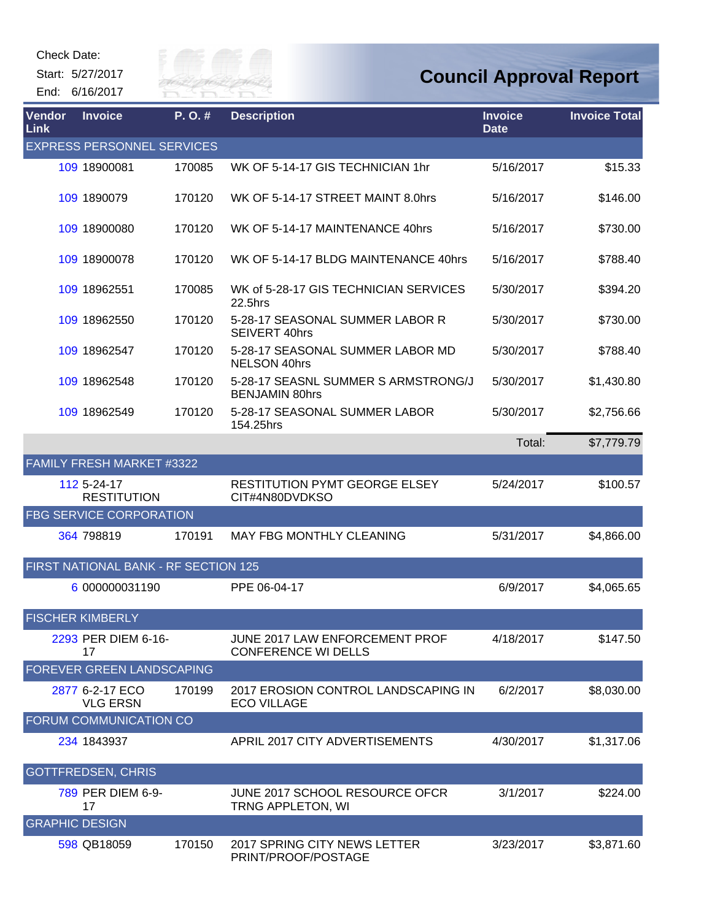Start: 5/27/2017 End: 6/16/2017



| Vendor<br><b>Link</b> | <b>Invoice</b>                       | P. O. # | <b>Description</b>                                           | <b>Invoice</b><br><b>Date</b> | <b>Invoice Total</b> |
|-----------------------|--------------------------------------|---------|--------------------------------------------------------------|-------------------------------|----------------------|
|                       | <b>EXPRESS PERSONNEL SERVICES</b>    |         |                                                              |                               |                      |
|                       | 109 18900081                         | 170085  | WK OF 5-14-17 GIS TECHNICIAN 1hr                             | 5/16/2017                     | \$15.33              |
|                       | 109 1890079                          | 170120  | WK OF 5-14-17 STREET MAINT 8.0hrs                            | 5/16/2017                     | \$146.00             |
|                       | 109 18900080                         | 170120  | WK OF 5-14-17 MAINTENANCE 40hrs                              | 5/16/2017                     | \$730.00             |
|                       | 109 18900078                         | 170120  | WK OF 5-14-17 BLDG MAINTENANCE 40hrs                         | 5/16/2017                     | \$788.40             |
|                       | 109 18962551                         | 170085  | WK of 5-28-17 GIS TECHNICIAN SERVICES<br>22.5hrs             | 5/30/2017                     | \$394.20             |
|                       | 109 18962550                         | 170120  | 5-28-17 SEASONAL SUMMER LABOR R<br><b>SEIVERT 40hrs</b>      | 5/30/2017                     | \$730.00             |
|                       | 109 18962547                         | 170120  | 5-28-17 SEASONAL SUMMER LABOR MD<br>NELSON 40hrs             | 5/30/2017                     | \$788.40             |
|                       | 109 18962548                         | 170120  | 5-28-17 SEASNL SUMMER S ARMSTRONG/J<br><b>BENJAMIN 80hrs</b> | 5/30/2017                     | \$1,430.80           |
|                       | 109 18962549                         | 170120  | 5-28-17 SEASONAL SUMMER LABOR<br>154.25hrs                   | 5/30/2017                     | \$2,756.66           |
|                       |                                      |         |                                                              | Total:                        | \$7,779.79           |
|                       | FAMILY FRESH MARKET #3322            |         |                                                              |                               |                      |
|                       | 112 5-24-17<br><b>RESTITUTION</b>    |         | <b>RESTITUTION PYMT GEORGE ELSEY</b><br>CIT#4N80DVDKSO       | 5/24/2017                     | \$100.57             |
|                       | <b>FBG SERVICE CORPORATION</b>       |         |                                                              |                               |                      |
|                       | 364 798819                           | 170191  | <b>MAY FBG MONTHLY CLEANING</b>                              | 5/31/2017                     | \$4,866.00           |
|                       | FIRST NATIONAL BANK - RF SECTION 125 |         |                                                              |                               |                      |
|                       | 6 000000031190                       |         | PPE 06-04-17                                                 | 6/9/2017                      | \$4,065.65           |
|                       | <b>FISCHER KIMBERLY</b>              |         |                                                              |                               |                      |
|                       | 2293 PER DIEM 6-16-<br>17            |         | JUNE 2017 LAW ENFORCEMENT PROF<br><b>CONFERENCE WI DELLS</b> | 4/18/2017                     | \$147.50             |
|                       | FOREVER GREEN LANDSCAPING            |         |                                                              |                               |                      |
|                       | 2877 6-2-17 ECO<br><b>VLG ERSN</b>   | 170199  | 2017 EROSION CONTROL LANDSCAPING IN<br><b>ECO VILLAGE</b>    | 6/2/2017                      | \$8,030.00           |
|                       | FORUM COMMUNICATION CO               |         |                                                              |                               |                      |
|                       | 234 1843937                          |         | APRIL 2017 CITY ADVERTISEMENTS                               | 4/30/2017                     | \$1,317.06           |
|                       | <b>GOTTFREDSEN, CHRIS</b>            |         |                                                              |                               |                      |
|                       | 789 PER DIEM 6-9-<br>17              |         | JUNE 2017 SCHOOL RESOURCE OFCR<br>TRNG APPLETON, WI          | 3/1/2017                      | \$224.00             |
| <b>GRAPHIC DESIGN</b> |                                      |         |                                                              |                               |                      |
|                       | 598 QB18059                          | 170150  | 2017 SPRING CITY NEWS LETTER<br>PRINT/PROOF/POSTAGE          | 3/23/2017                     | \$3,871.60           |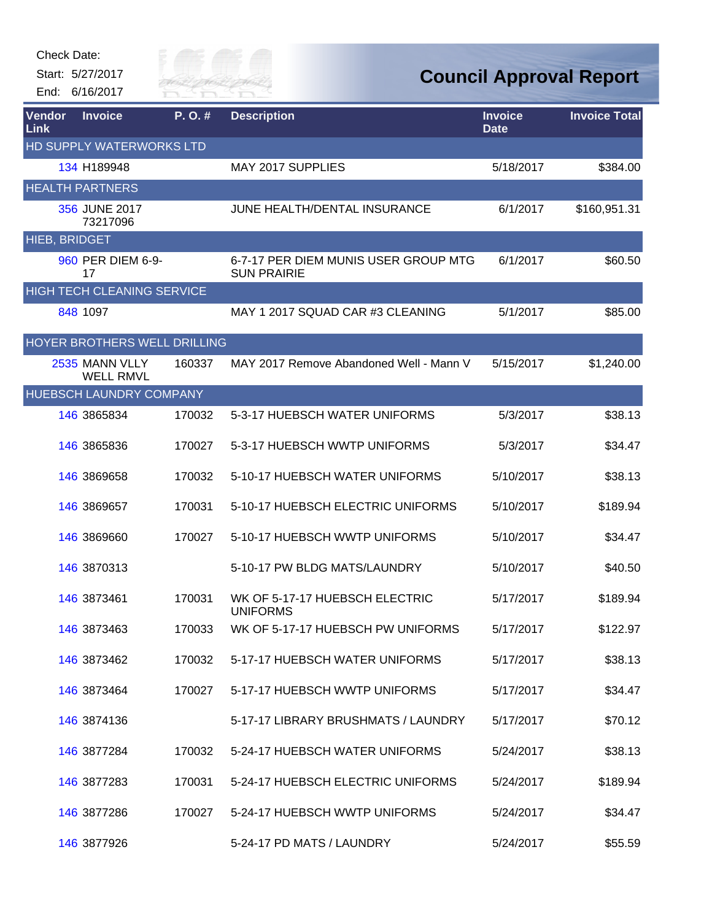Start: 5/27/2017 End: 6/16/2017



| Vendor<br><b>Link</b> | <b>Invoice</b>                     | P.O.#  | <b>Description</b>                                         | <b>Invoice</b><br><b>Date</b> | <b>Invoice Total</b> |
|-----------------------|------------------------------------|--------|------------------------------------------------------------|-------------------------------|----------------------|
|                       | HD SUPPLY WATERWORKS LTD           |        |                                                            |                               |                      |
|                       | 134 H189948                        |        | MAY 2017 SUPPLIES                                          | 5/18/2017                     | \$384.00             |
|                       | <b>HEALTH PARTNERS</b>             |        |                                                            |                               |                      |
|                       | 356 JUNE 2017<br>73217096          |        | JUNE HEALTH/DENTAL INSURANCE                               | 6/1/2017                      | \$160,951.31         |
| HIEB, BRIDGET         |                                    |        |                                                            |                               |                      |
|                       | 960 PER DIEM 6-9-<br>17            |        | 6-7-17 PER DIEM MUNIS USER GROUP MTG<br><b>SUN PRAIRIE</b> | 6/1/2017                      | \$60.50              |
|                       | HIGH TECH CLEANING SERVICE         |        |                                                            |                               |                      |
|                       | 848 1097                           |        | MAY 1 2017 SQUAD CAR #3 CLEANING                           | 5/1/2017                      | \$85.00              |
|                       | HOYER BROTHERS WELL DRILLING       |        |                                                            |                               |                      |
|                       | 2535 MANN VLLY<br><b>WELL RMVL</b> | 160337 | MAY 2017 Remove Abandoned Well - Mann V                    | 5/15/2017                     | \$1,240.00           |
|                       | HUEBSCH LAUNDRY COMPANY            |        |                                                            |                               |                      |
|                       | 146 3865834                        | 170032 | 5-3-17 HUEBSCH WATER UNIFORMS                              | 5/3/2017                      | \$38.13              |
|                       | 146 3865836                        | 170027 | 5-3-17 HUEBSCH WWTP UNIFORMS                               | 5/3/2017                      | \$34.47              |
|                       | 146 3869658                        | 170032 | 5-10-17 HUEBSCH WATER UNIFORMS                             | 5/10/2017                     | \$38.13              |
|                       | 146 3869657                        | 170031 | 5-10-17 HUEBSCH ELECTRIC UNIFORMS                          | 5/10/2017                     | \$189.94             |
|                       | 146 3869660                        | 170027 | 5-10-17 HUEBSCH WWTP UNIFORMS                              | 5/10/2017                     | \$34.47              |
|                       | 146 3870313                        |        | 5-10-17 PW BLDG MATS/LAUNDRY                               | 5/10/2017                     | \$40.50              |
|                       | 146 3873461                        | 170031 | WK OF 5-17-17 HUEBSCH ELECTRIC<br><b>UNIFORMS</b>          | 5/17/2017                     | \$189.94             |
|                       | 146 3873463                        | 170033 | WK OF 5-17-17 HUEBSCH PW UNIFORMS                          | 5/17/2017                     | \$122.97             |
|                       | 146 3873462                        | 170032 | 5-17-17 HUEBSCH WATER UNIFORMS                             | 5/17/2017                     | \$38.13              |
|                       | 146 3873464                        | 170027 | 5-17-17 HUEBSCH WWTP UNIFORMS                              | 5/17/2017                     | \$34.47              |
|                       | 146 3874136                        |        | 5-17-17 LIBRARY BRUSHMATS / LAUNDRY                        | 5/17/2017                     | \$70.12              |
|                       | 146 3877284                        | 170032 | 5-24-17 HUEBSCH WATER UNIFORMS                             | 5/24/2017                     | \$38.13              |
|                       | 146 3877283                        | 170031 | 5-24-17 HUEBSCH ELECTRIC UNIFORMS                          | 5/24/2017                     | \$189.94             |
|                       | 146 3877286                        | 170027 | 5-24-17 HUEBSCH WWTP UNIFORMS                              | 5/24/2017                     | \$34.47              |
|                       | 146 3877926                        |        | 5-24-17 PD MATS / LAUNDRY                                  | 5/24/2017                     | \$55.59              |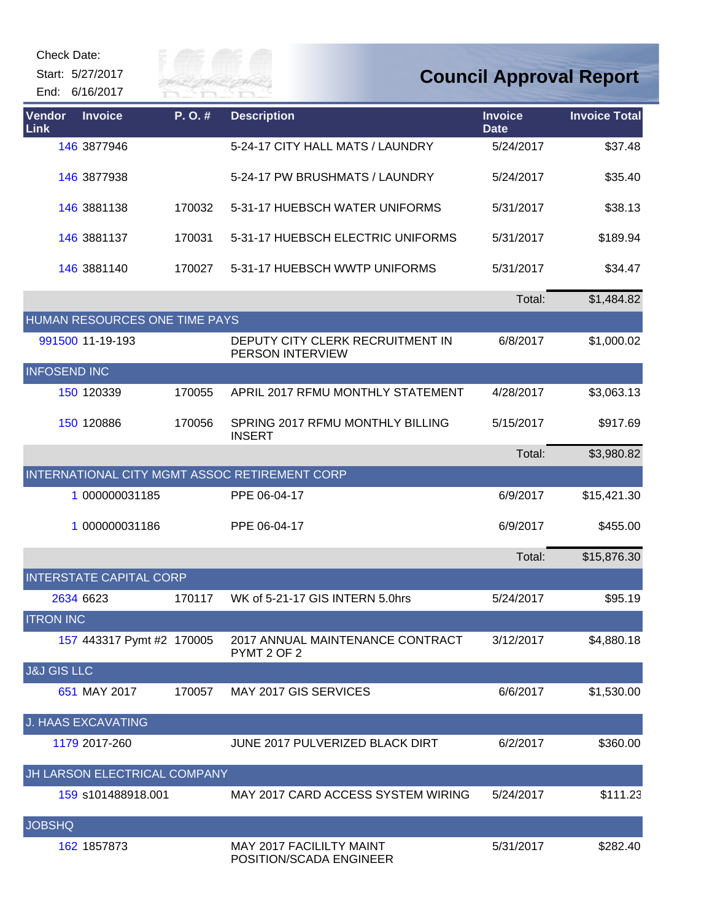| Check Date:            | Start: 5/27/2017<br>End: 6/16/2017 |        | ER FAI                                               |                               | <b>Council Approval Report</b> |
|------------------------|------------------------------------|--------|------------------------------------------------------|-------------------------------|--------------------------------|
| Vendor<br>Link         | <b>Invoice</b>                     | P.O.#  | <b>Description</b>                                   | <b>Invoice</b><br><b>Date</b> | <b>Invoice Total</b>           |
|                        | 146 3877946                        |        | 5-24-17 CITY HALL MATS / LAUNDRY                     | 5/24/2017                     | \$37.48                        |
|                        | 146 3877938                        |        | 5-24-17 PW BRUSHMATS / LAUNDRY                       | 5/24/2017                     | \$35.40                        |
|                        | 146 3881138                        | 170032 | 5-31-17 HUEBSCH WATER UNIFORMS                       | 5/31/2017                     | \$38.13                        |
|                        | 146 3881137                        | 170031 | 5-31-17 HUEBSCH ELECTRIC UNIFORMS                    | 5/31/2017                     | \$189.94                       |
|                        | 146 3881140                        | 170027 | 5-31-17 HUEBSCH WWTP UNIFORMS                        | 5/31/2017                     | \$34.47                        |
|                        |                                    |        |                                                      | Total:                        | \$1,484.82                     |
|                        | HUMAN RESOURCES ONE TIME PAYS      |        |                                                      |                               |                                |
|                        | 991500 11-19-193                   |        | DEPUTY CITY CLERK RECRUITMENT IN<br>PERSON INTERVIEW | 6/8/2017                      | \$1,000.02                     |
| <b>INFOSEND INC</b>    |                                    |        |                                                      |                               |                                |
|                        | 150 120339                         | 170055 | APRIL 2017 RFMU MONTHLY STATEMENT                    | 4/28/2017                     | \$3,063.13                     |
|                        | 150 120886                         | 170056 | SPRING 2017 RFMU MONTHLY BILLING<br><b>INSERT</b>    | 5/15/2017                     | \$917.69                       |
|                        |                                    |        |                                                      | Total:                        | \$3,980.82                     |
|                        |                                    |        | INTERNATIONAL CITY MGMT ASSOC RETIREMENT CORP        |                               |                                |
|                        | 1 000000031185                     |        | PPE 06-04-17                                         | 6/9/2017                      | \$15,421.30                    |
|                        | 1 000000031186                     |        | PPE 06-04-17                                         | 6/9/2017                      | \$455.00                       |
|                        |                                    |        |                                                      | Total:                        | \$15,876.30                    |
|                        | <b>INTERSTATE CAPITAL CORP</b>     |        |                                                      |                               |                                |
|                        | 2634 6623                          | 170117 | WK of 5-21-17 GIS INTERN 5.0hrs                      | 5/24/2017                     | \$95.19                        |
| <b>ITRON INC</b>       |                                    |        |                                                      |                               |                                |
|                        | 157 443317 Pymt #2 170005          |        | 2017 ANNUAL MAINTENANCE CONTRACT<br>PYMT 2 OF 2      | 3/12/2017                     | \$4,880.18                     |
| <b>J&amp;J GIS LLC</b> |                                    |        |                                                      |                               |                                |
|                        | 651 MAY 2017                       | 170057 | MAY 2017 GIS SERVICES                                | 6/6/2017                      | \$1,530.00                     |
|                        | <b>J. HAAS EXCAVATING</b>          |        |                                                      |                               |                                |
|                        | 1179 2017-260                      |        | JUNE 2017 PULVERIZED BLACK DIRT                      | 6/2/2017                      | \$360.00                       |
|                        | JH LARSON ELECTRICAL COMPANY       |        |                                                      |                               |                                |
|                        | 159 s101488918.001                 |        | MAY 2017 CARD ACCESS SYSTEM WIRING                   | 5/24/2017                     | \$111.23                       |
| <b>JOBSHQ</b>          |                                    |        |                                                      |                               |                                |
|                        | 162 1857873                        |        | MAY 2017 FACILILTY MAINT<br>POSITION/SCADA ENGINEER  | 5/31/2017                     | \$282.40                       |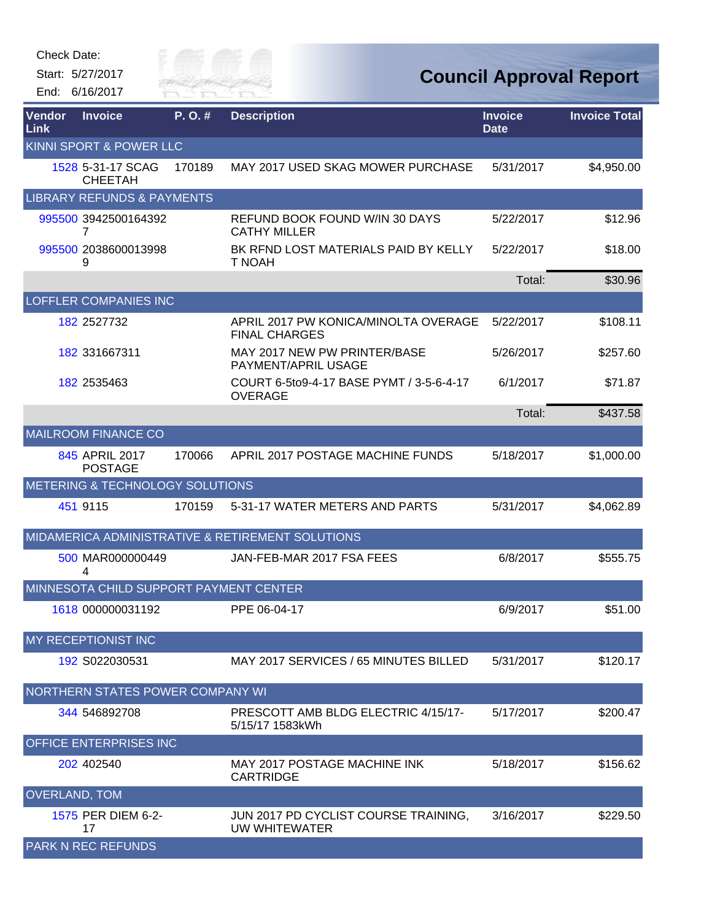| Check Date: |  |
|-------------|--|
|-------------|--|



| Vendor<br>Link       | <b>Invoice</b>                         | P. O. # | <b>Description</b>                                           | <b>Invoice</b><br><b>Date</b> | <b>Invoice Total</b> |
|----------------------|----------------------------------------|---------|--------------------------------------------------------------|-------------------------------|----------------------|
|                      | KINNI SPORT & POWER LLC                |         |                                                              |                               |                      |
|                      | 1528 5-31-17 SCAG<br><b>CHEETAH</b>    | 170189  | MAY 2017 USED SKAG MOWER PURCHASE                            | 5/31/2017                     | \$4,950.00           |
|                      | <b>LIBRARY REFUNDS &amp; PAYMENTS</b>  |         |                                                              |                               |                      |
|                      | 995500 3942500164392<br>7              |         | REFUND BOOK FOUND W/IN 30 DAYS<br><b>CATHY MILLER</b>        | 5/22/2017                     | \$12.96              |
|                      | 995500 2038600013998<br>9              |         | BK RFND LOST MATERIALS PAID BY KELLY<br>T NOAH               | 5/22/2017                     | \$18.00              |
|                      |                                        |         |                                                              | Total:                        | \$30.96              |
|                      | <b>LOFFLER COMPANIES INC</b>           |         |                                                              |                               |                      |
|                      | 182 2527732                            |         | APRIL 2017 PW KONICA/MINOLTA OVERAGE<br><b>FINAL CHARGES</b> | 5/22/2017                     | \$108.11             |
|                      | 182 331667311                          |         | MAY 2017 NEW PW PRINTER/BASE<br>PAYMENT/APRIL USAGE          | 5/26/2017                     | \$257.60             |
|                      | 182 2535463                            |         | COURT 6-5to9-4-17 BASE PYMT / 3-5-6-4-17<br><b>OVERAGE</b>   | 6/1/2017                      | \$71.87              |
|                      |                                        |         |                                                              | Total:                        | \$437.58             |
|                      | <b>MAILROOM FINANCE CO</b>             |         |                                                              |                               |                      |
|                      | 845 APRIL 2017<br><b>POSTAGE</b>       | 170066  | APRIL 2017 POSTAGE MACHINE FUNDS                             | 5/18/2017                     | \$1,000.00           |
|                      | METERING & TECHNOLOGY SOLUTIONS        |         |                                                              |                               |                      |
|                      | 451 9115                               | 170159  | 5-31-17 WATER METERS AND PARTS                               | 5/31/2017                     | \$4,062.89           |
|                      |                                        |         | MIDAMERICA ADMINISTRATIVE & RETIREMENT SOLUTIONS             |                               |                      |
|                      | 500 MAR000000449<br>4                  |         | JAN-FEB-MAR 2017 FSA FEES                                    | 6/8/2017                      | \$555.75             |
|                      | MINNESOTA CHILD SUPPORT PAYMENT CENTER |         |                                                              |                               |                      |
|                      | 1618 000000031192                      |         | PPE 06-04-17                                                 | 6/9/2017                      | \$51.00              |
|                      | MY RECEPTIONIST INC                    |         |                                                              |                               |                      |
|                      | 192 S022030531                         |         | MAY 2017 SERVICES / 65 MINUTES BILLED                        | 5/31/2017                     | \$120.17             |
|                      | NORTHERN STATES POWER COMPANY WI       |         |                                                              |                               |                      |
|                      | 344 546892708                          |         | PRESCOTT AMB BLDG ELECTRIC 4/15/17-<br>5/15/17 1583kWh       | 5/17/2017                     | \$200.47             |
|                      | <b>OFFICE ENTERPRISES INC</b>          |         |                                                              |                               |                      |
|                      | 202 402540                             |         | MAY 2017 POSTAGE MACHINE INK<br><b>CARTRIDGE</b>             | 5/18/2017                     | \$156.62             |
| <b>OVERLAND, TOM</b> |                                        |         |                                                              |                               |                      |
|                      | 1575 PER DIEM 6-2-<br>17               |         | JUN 2017 PD CYCLIST COURSE TRAINING,<br>UW WHITEWATER        | 3/16/2017                     | \$229.50             |
|                      | <b>PARK N REC REFUNDS</b>              |         |                                                              |                               |                      |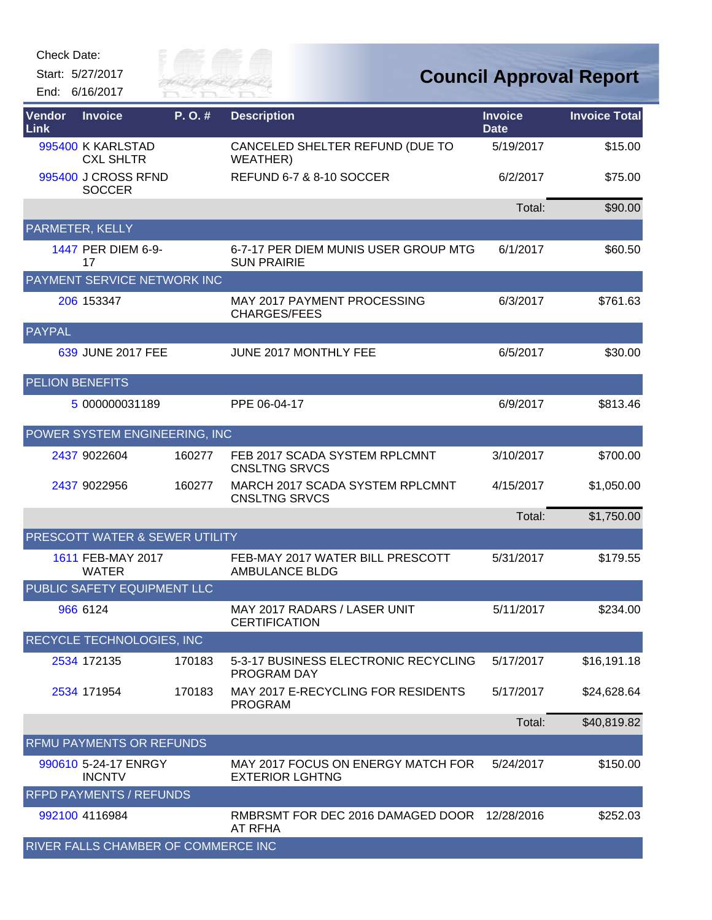Start: 5/27/2017 End: 6/16/2017



| <b>Vendor</b><br>Link  | <b>Invoice</b>                        | P. O. # | <b>Description</b>                                           | <b>Invoice</b><br><b>Date</b> | <b>Invoice Total</b> |
|------------------------|---------------------------------------|---------|--------------------------------------------------------------|-------------------------------|----------------------|
|                        | 995400 K KARLSTAD<br><b>CXL SHLTR</b> |         | CANCELED SHELTER REFUND (DUE TO<br>WEATHER)                  | 5/19/2017                     | \$15.00              |
|                        | 995400 J CROSS RFND<br><b>SOCCER</b>  |         | REFUND 6-7 & 8-10 SOCCER                                     | 6/2/2017                      | \$75.00              |
|                        |                                       |         |                                                              | Total:                        | \$90.00              |
|                        | PARMETER, KELLY                       |         |                                                              |                               |                      |
|                        | 1447 PER DIEM 6-9-<br>17              |         | 6-7-17 PER DIEM MUNIS USER GROUP MTG<br><b>SUN PRAIRIE</b>   | 6/1/2017                      | \$60.50              |
|                        | PAYMENT SERVICE NETWORK INC           |         |                                                              |                               |                      |
|                        | 206 153347                            |         | MAY 2017 PAYMENT PROCESSING<br>CHARGES/FEES                  | 6/3/2017                      | \$761.63             |
| <b>PAYPAL</b>          |                                       |         |                                                              |                               |                      |
|                        | 639 JUNE 2017 FEE                     |         | JUNE 2017 MONTHLY FEE                                        | 6/5/2017                      | \$30.00              |
| <b>PELION BENEFITS</b> |                                       |         |                                                              |                               |                      |
|                        | 5 000000031189                        |         | PPE 06-04-17                                                 | 6/9/2017                      | \$813.46             |
|                        | POWER SYSTEM ENGINEERING, INC         |         |                                                              |                               |                      |
|                        | 2437 9022604                          | 160277  | FEB 2017 SCADA SYSTEM RPLCMNT<br><b>CNSLTNG SRVCS</b>        | 3/10/2017                     | \$700.00             |
|                        | 2437 9022956                          | 160277  | MARCH 2017 SCADA SYSTEM RPLCMNT<br><b>CNSLTNG SRVCS</b>      | 4/15/2017                     | \$1,050.00           |
|                        |                                       |         |                                                              | Total:                        | \$1,750.00           |
|                        | PRESCOTT WATER & SEWER UTILITY        |         |                                                              |                               |                      |
|                        | 1611 FEB-MAY 2017<br><b>WATER</b>     |         | FEB-MAY 2017 WATER BILL PRESCOTT<br>AMBULANCE BLDG           | 5/31/2017                     | \$179.55             |
|                        | PUBLIC SAFETY EQUIPMENT LLC           |         |                                                              |                               |                      |
|                        | 966 6124                              |         | MAY 2017 RADARS / LASER UNIT<br><b>CERTIFICATION</b>         | 5/11/2017                     | \$234.00             |
|                        | RECYCLE TECHNOLOGIES, INC             |         |                                                              |                               |                      |
|                        | 2534 172135                           | 170183  | 5-3-17 BUSINESS ELECTRONIC RECYCLING<br><b>PROGRAM DAY</b>   | 5/17/2017                     | \$16,191.18          |
|                        | 2534 171954                           | 170183  | MAY 2017 E-RECYCLING FOR RESIDENTS<br><b>PROGRAM</b>         | 5/17/2017                     | \$24,628.64          |
|                        |                                       |         |                                                              | Total:                        | \$40,819.82          |
|                        | <b>RFMU PAYMENTS OR REFUNDS</b>       |         |                                                              |                               |                      |
|                        | 990610 5-24-17 ENRGY<br><b>INCNTV</b> |         | MAY 2017 FOCUS ON ENERGY MATCH FOR<br><b>EXTERIOR LGHTNG</b> | 5/24/2017                     | \$150.00             |
|                        | <b>RFPD PAYMENTS / REFUNDS</b>        |         |                                                              |                               |                      |
|                        | 992100 4116984                        |         | RMBRSMT FOR DEC 2016 DAMAGED DOOR<br>AT RFHA                 | 12/28/2016                    | \$252.03             |
|                        | RIVER FALLS CHAMBER OF COMMERCE INC   |         |                                                              |                               |                      |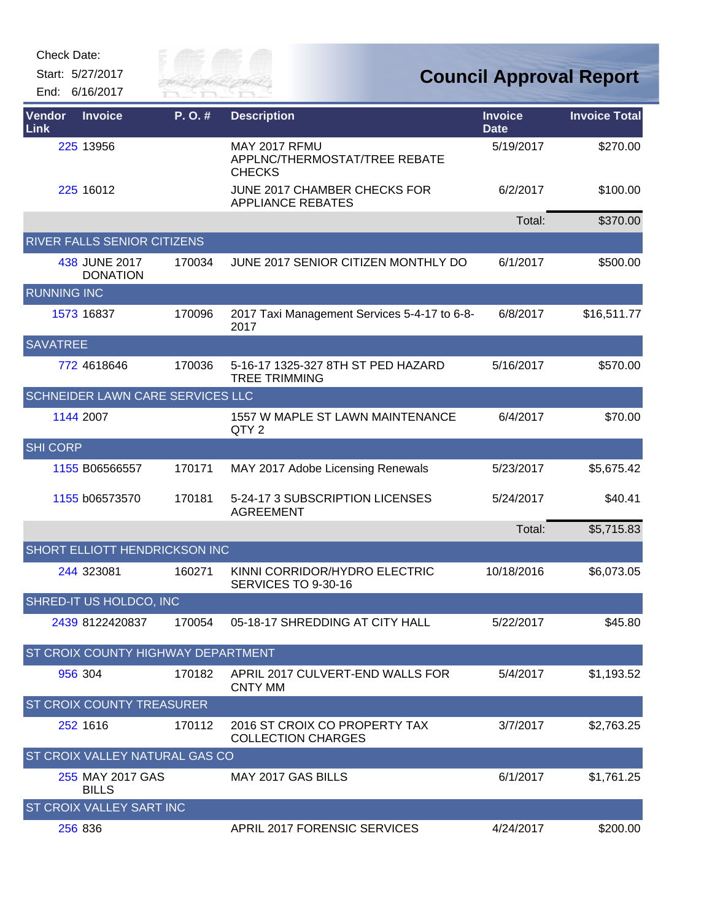

| Vendor<br>Link     | <b>Invoice</b>                        | P.O.#  | <b>Description</b>                                              | <b>Invoice</b><br><b>Date</b> | <b>Invoice Total</b> |
|--------------------|---------------------------------------|--------|-----------------------------------------------------------------|-------------------------------|----------------------|
|                    | 225 13956                             |        | MAY 2017 RFMU<br>APPLNC/THERMOSTAT/TREE REBATE<br><b>CHECKS</b> | 5/19/2017                     | \$270.00             |
|                    | 225 16012                             |        | JUNE 2017 CHAMBER CHECKS FOR<br><b>APPLIANCE REBATES</b>        | 6/2/2017                      | \$100.00             |
|                    |                                       |        |                                                                 | Total:                        | \$370.00             |
|                    | RIVER FALLS SENIOR CITIZENS           |        |                                                                 |                               |                      |
|                    | 438 JUNE 2017<br><b>DONATION</b>      | 170034 | JUNE 2017 SENIOR CITIZEN MONTHLY DO                             | 6/1/2017                      | \$500.00             |
| <b>RUNNING INC</b> |                                       |        |                                                                 |                               |                      |
|                    | 1573 16837                            | 170096 | 2017 Taxi Management Services 5-4-17 to 6-8-<br>2017            | 6/8/2017                      | \$16,511.77          |
| <b>SAVATREE</b>    |                                       |        |                                                                 |                               |                      |
|                    | 772 4618646                           | 170036 | 5-16-17 1325-327 8TH ST PED HAZARD<br><b>TREE TRIMMING</b>      | 5/16/2017                     | \$570.00             |
|                    | SCHNEIDER LAWN CARE SERVICES LLC      |        |                                                                 |                               |                      |
|                    | 1144 2007                             |        | 1557 W MAPLE ST LAWN MAINTENANCE<br>QTY <sub>2</sub>            | 6/4/2017                      | \$70.00              |
| <b>SHI CORP</b>    |                                       |        |                                                                 |                               |                      |
|                    | 1155 B06566557                        | 170171 | MAY 2017 Adobe Licensing Renewals                               | 5/23/2017                     | \$5,675.42           |
|                    | 1155 b06573570                        | 170181 | 5-24-17 3 SUBSCRIPTION LICENSES<br><b>AGREEMENT</b>             | 5/24/2017                     | \$40.41              |
|                    |                                       |        |                                                                 | Total:                        | \$5,715.83           |
|                    | SHORT ELLIOTT HENDRICKSON INC         |        |                                                                 |                               |                      |
|                    | 244 323081                            | 160271 | KINNI CORRIDOR/HYDRO ELECTRIC<br>SERVICES TO 9-30-16            | 10/18/2016                    | \$6,073.05           |
|                    | SHRED-IT US HOLDCO, INC               |        |                                                                 |                               |                      |
|                    | 2439 8122420837                       | 170054 | 05-18-17 SHREDDING AT CITY HALL                                 | 5/22/2017                     | \$45.80              |
|                    | ST CROIX COUNTY HIGHWAY DEPARTMENT    |        |                                                                 |                               |                      |
|                    | 956 304                               | 170182 | APRIL 2017 CULVERT-END WALLS FOR<br><b>CNTY MM</b>              | 5/4/2017                      | \$1,193.52           |
|                    | <b>ST CROIX COUNTY TREASURER</b>      |        |                                                                 |                               |                      |
|                    | 252 1616                              | 170112 | 2016 ST CROIX CO PROPERTY TAX<br><b>COLLECTION CHARGES</b>      | 3/7/2017                      | \$2,763.25           |
|                    | <b>ST CROIX VALLEY NATURAL GAS CO</b> |        |                                                                 |                               |                      |
|                    | 255 MAY 2017 GAS<br><b>BILLS</b>      |        | MAY 2017 GAS BILLS                                              | 6/1/2017                      | \$1,761.25           |
|                    | <b>ST CROIX VALLEY SART INC</b>       |        |                                                                 |                               |                      |
|                    | 256 836                               |        | <b>APRIL 2017 FORENSIC SERVICES</b>                             | 4/24/2017                     | \$200.00             |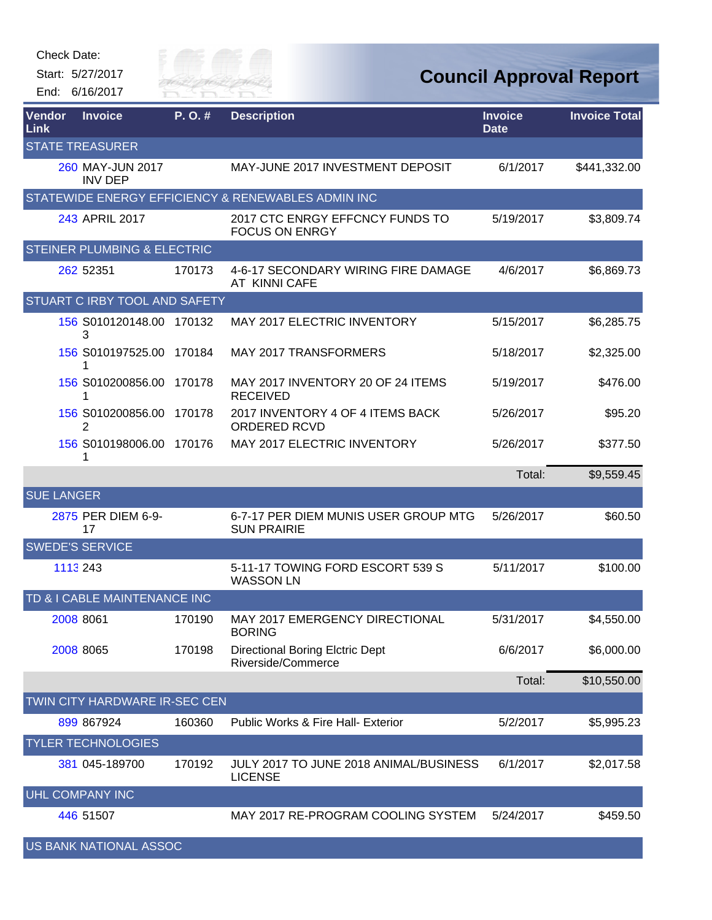| Check Date: |  |
|-------------|--|
|-------------|--|



## **Council Approval Report**

| Vendor<br>Link               | <b>Invoice</b>                            | P.O.#  | <b>Description</b>                                           | <b>Invoice</b><br><b>Date</b> | <b>Invoice Total</b> |
|------------------------------|-------------------------------------------|--------|--------------------------------------------------------------|-------------------------------|----------------------|
|                              | <b>STATE TREASURER</b>                    |        |                                                              |                               |                      |
|                              | <b>260 MAY-JUN 2017</b><br><b>INV DEP</b> |        | MAY-JUNE 2017 INVESTMENT DEPOSIT                             | 6/1/2017                      | \$441,332.00         |
|                              |                                           |        | STATEWIDE ENERGY EFFICIENCY & RENEWABLES ADMIN INC           |                               |                      |
|                              | 243 APRIL 2017                            |        | 2017 CTC ENRGY EFFCNCY FUNDS TO<br><b>FOCUS ON ENRGY</b>     | 5/19/2017                     | \$3,809.74           |
|                              | <b>STEINER PLUMBING &amp; ELECTRIC</b>    |        |                                                              |                               |                      |
|                              | 262 52351                                 | 170173 | 4-6-17 SECONDARY WIRING FIRE DAMAGE<br>AT KINNI CAFE         | 4/6/2017                      | \$6,869.73           |
|                              | <b>STUART C IRBY TOOL AND SAFETY</b>      |        |                                                              |                               |                      |
|                              | 156 S010120148.00<br>3                    | 170132 | MAY 2017 ELECTRIC INVENTORY                                  | 5/15/2017                     | \$6,285.75           |
|                              | 156 S010197525.00                         | 170184 | <b>MAY 2017 TRANSFORMERS</b>                                 | 5/18/2017                     | \$2,325.00           |
|                              | 156 S010200856.00<br>1                    | 170178 | MAY 2017 INVENTORY 20 OF 24 ITEMS<br><b>RECEIVED</b>         | 5/19/2017                     | \$476.00             |
|                              | 156 S010200856.00<br>2                    | 170178 | 2017 INVENTORY 4 OF 4 ITEMS BACK<br><b>ORDERED RCVD</b>      | 5/26/2017                     | \$95.20              |
|                              | 156 S010198006.00 170176<br>1             |        | MAY 2017 ELECTRIC INVENTORY                                  | 5/26/2017                     | \$377.50             |
|                              |                                           |        |                                                              | Total:                        | \$9,559.45           |
| <b>SUE LANGER</b>            |                                           |        |                                                              |                               |                      |
|                              | 2875 PER DIEM 6-9-<br>17                  |        | 6-7-17 PER DIEM MUNIS USER GROUP MTG<br><b>SUN PRAIRIE</b>   | 5/26/2017                     | \$60.50              |
|                              | <b>SWEDE'S SERVICE</b>                    |        |                                                              |                               |                      |
|                              | 1113 243                                  |        | 5-11-17 TOWING FORD ESCORT 539 S<br><b>WASSON LN</b>         | 5/11/2017                     | \$100.00             |
| TD & I CABLE MAINTENANCE INC |                                           |        |                                                              |                               |                      |
|                              | 2008 8061                                 | 170190 | MAY 2017 EMERGENCY DIRECTIONAL<br><b>BORING</b>              | 5/31/2017                     | \$4,550.00           |
|                              | 2008 8065                                 | 170198 | <b>Directional Boring Elctric Dept</b><br>Riverside/Commerce | 6/6/2017                      | \$6,000.00           |
|                              |                                           |        |                                                              | Total:                        | \$10,550.00          |
|                              | TWIN CITY HARDWARE IR-SEC CEN             |        |                                                              |                               |                      |
|                              | 899 867924                                | 160360 | Public Works & Fire Hall- Exterior                           | 5/2/2017                      | \$5,995.23           |
|                              | <b>TYLER TECHNOLOGIES</b>                 |        |                                                              |                               |                      |
|                              | 381 045-189700                            | 170192 | JULY 2017 TO JUNE 2018 ANIMAL/BUSINESS<br><b>LICENSE</b>     | 6/1/2017                      | \$2,017.58           |
|                              | <b>UHL COMPANY INC</b>                    |        |                                                              |                               |                      |
|                              | 446 51507                                 |        | MAY 2017 RE-PROGRAM COOLING SYSTEM                           | 5/24/2017                     | \$459.50             |

US BANK NATIONAL ASSOC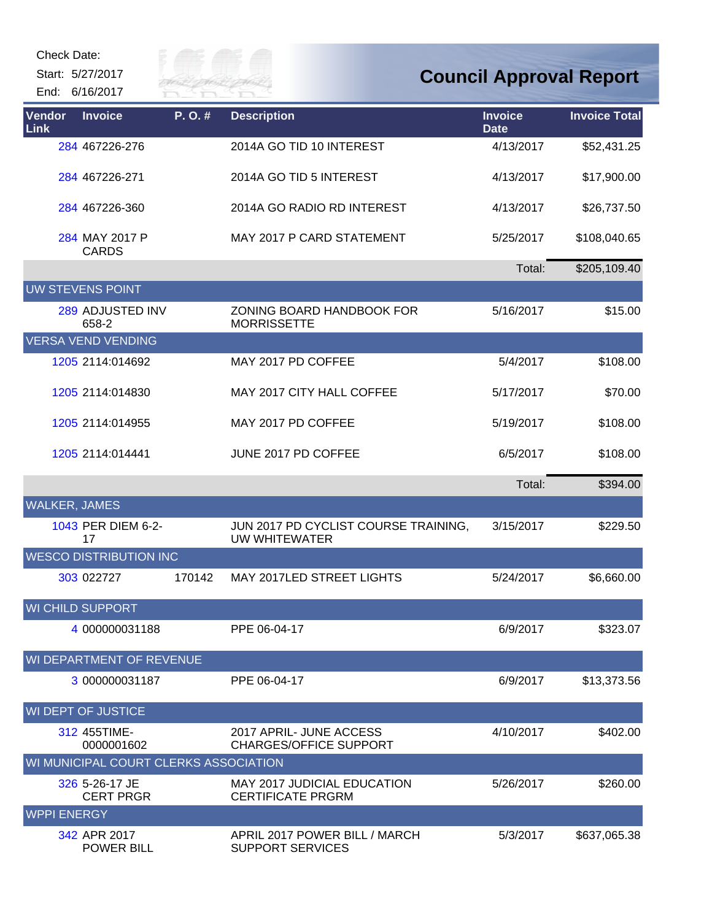Start: 5/27/2017 End: 6/16/2017



| Vendor<br>Link       | <b>Invoice</b>                        | P.O.#  | <b>Description</b>                                             | <b>Invoice</b><br><b>Date</b> | <b>Invoice Total</b> |
|----------------------|---------------------------------------|--------|----------------------------------------------------------------|-------------------------------|----------------------|
|                      | 284 467226-276                        |        | 2014A GO TID 10 INTEREST                                       | 4/13/2017                     | \$52,431.25          |
|                      | 284 467226-271                        |        | 2014A GO TID 5 INTEREST                                        | 4/13/2017                     | \$17,900.00          |
|                      | 284 467226-360                        |        | 2014A GO RADIO RD INTEREST                                     | 4/13/2017                     | \$26,737.50          |
|                      | 284 MAY 2017 P<br><b>CARDS</b>        |        | MAY 2017 P CARD STATEMENT                                      | 5/25/2017                     | \$108,040.65         |
|                      |                                       |        |                                                                | Total:                        | \$205,109.40         |
|                      | <b>UW STEVENS POINT</b>               |        |                                                                |                               |                      |
|                      | 289 ADJUSTED INV<br>658-2             |        | ZONING BOARD HANDBOOK FOR<br><b>MORRISSETTE</b>                | 5/16/2017                     | \$15.00              |
|                      | <b>VERSA VEND VENDING</b>             |        |                                                                |                               |                      |
|                      | 1205 2114:014692                      |        | MAY 2017 PD COFFEE                                             | 5/4/2017                      | \$108.00             |
|                      | 1205 2114:014830                      |        | MAY 2017 CITY HALL COFFEE                                      | 5/17/2017                     | \$70.00              |
|                      | 1205 2114:014955                      |        | MAY 2017 PD COFFEE                                             | 5/19/2017                     | \$108.00             |
|                      | 1205 2114:014441                      |        | JUNE 2017 PD COFFEE                                            | 6/5/2017                      | \$108.00             |
|                      |                                       |        |                                                                | Total:                        | \$394.00             |
| <b>WALKER, JAMES</b> |                                       |        |                                                                |                               |                      |
|                      | 1043 PER DIEM 6-2-<br>17              |        | JUN 2017 PD CYCLIST COURSE TRAINING,<br>UW WHITEWATER          | 3/15/2017                     | \$229.50             |
|                      | <b>WESCO DISTRIBUTION INC</b>         |        |                                                                |                               |                      |
|                      | 303 022727                            | 170142 | MAY 2017LED STREET LIGHTS                                      | 5/24/2017                     | \$6,660.00           |
|                      | <b>WI CHILD SUPPORT</b>               |        |                                                                |                               |                      |
|                      | 4 000000031188                        |        | PPE 06-04-17                                                   | 6/9/2017                      | \$323.07             |
|                      | WI DEPARTMENT OF REVENUE              |        |                                                                |                               |                      |
|                      | 3 000000031187                        |        | PPE 06-04-17                                                   | 6/9/2017                      | \$13,373.56          |
|                      | <b>WI DEPT OF JUSTICE</b>             |        |                                                                |                               |                      |
|                      | 312 455TIME-<br>0000001602            |        | 2017 APRIL- JUNE ACCESS<br><b>CHARGES/OFFICE SUPPORT</b>       | 4/10/2017                     | \$402.00             |
|                      | WI MUNICIPAL COURT CLERKS ASSOCIATION |        |                                                                |                               |                      |
|                      | 326 5-26-17 JE<br><b>CERT PRGR</b>    |        | <b>MAY 2017 JUDICIAL EDUCATION</b><br><b>CERTIFICATE PRGRM</b> | 5/26/2017                     | \$260.00             |
| <b>WPPI ENERGY</b>   |                                       |        |                                                                |                               |                      |
|                      | 342 APR 2017<br><b>POWER BILL</b>     |        | APRIL 2017 POWER BILL / MARCH<br><b>SUPPORT SERVICES</b>       | 5/3/2017                      | \$637,065.38         |